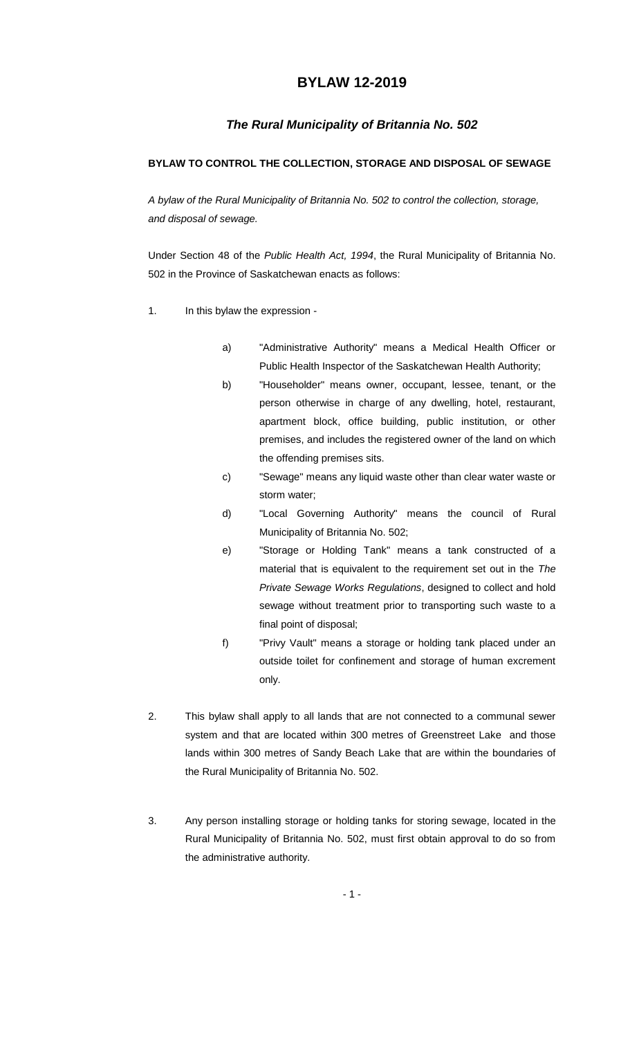# **BYLAW 12-2019**

## *The Rural Municipality of Britannia No. 502*

## **BYLAW TO CONTROL THE COLLECTION, STORAGE AND DISPOSAL OF SEWAGE**

*A bylaw of the Rural Municipality of Britannia No. 502 to control the collection, storage, and disposal of sewage.*

Under Section 48 of the *Public Health Act, 1994*, the Rural Municipality of Britannia No. 502 in the Province of Saskatchewan enacts as follows:

- 1. In this bylaw the expression
	- a) "Administrative Authority" means a Medical Health Officer or Public Health Inspector of the Saskatchewan Health Authority;
	- b) "Householder" means owner, occupant, lessee, tenant, or the person otherwise in charge of any dwelling, hotel, restaurant, apartment block, office building, public institution, or other premises, and includes the registered owner of the land on which the offending premises sits.
	- c) "Sewage" means any liquid waste other than clear water waste or storm water;
	- d) "Local Governing Authority" means the council of Rural Municipality of Britannia No. 502;
	- e) "Storage or Holding Tank" means a tank constructed of a material that is equivalent to the requirement set out in the *The Private Sewage Works Regulations*, designed to collect and hold sewage without treatment prior to transporting such waste to a final point of disposal;
	- f) "Privy Vault" means a storage or holding tank placed under an outside toilet for confinement and storage of human excrement only.
- 2. This bylaw shall apply to all lands that are not connected to a communal sewer system and that are located within 300 metres of Greenstreet Lake and those lands within 300 metres of Sandy Beach Lake that are within the boundaries of the Rural Municipality of Britannia No. 502.
- 3. Any person installing storage or holding tanks for storing sewage, located in the Rural Municipality of Britannia No. 502, must first obtain approval to do so from the administrative authority.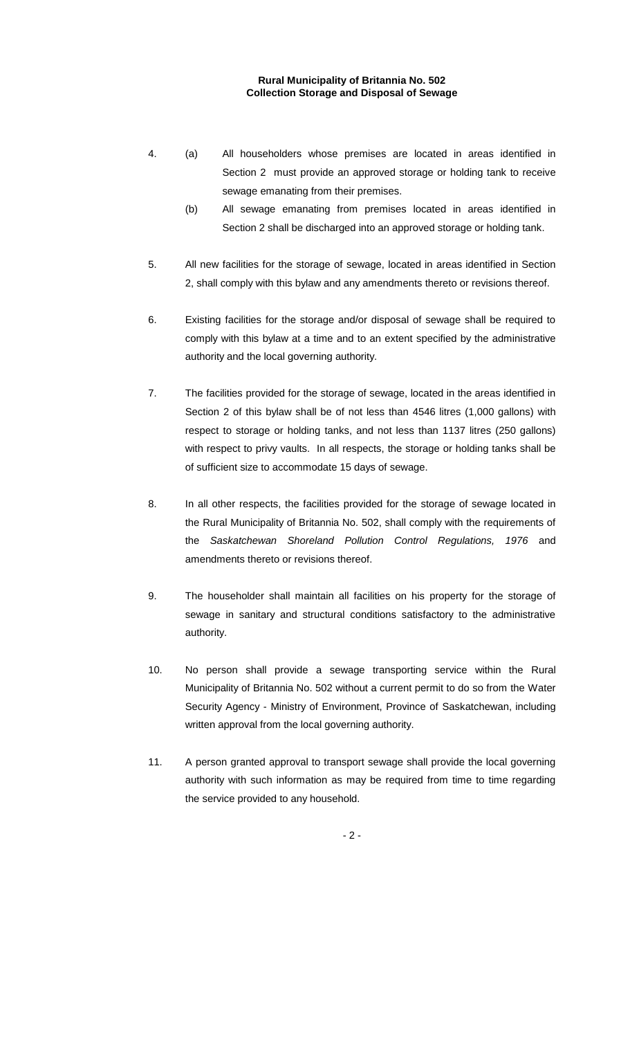### **Rural Municipality of Britannia No. 502 Collection Storage and Disposal of Sewage**

- 4. (a) All householders whose premises are located in areas identified in Section 2 must provide an approved storage or holding tank to receive sewage emanating from their premises.
	- (b) All sewage emanating from premises located in areas identified in Section 2 shall be discharged into an approved storage or holding tank.
- 5. All new facilities for the storage of sewage, located in areas identified in Section 2, shall comply with this bylaw and any amendments thereto or revisions thereof.
- 6. Existing facilities for the storage and/or disposal of sewage shall be required to comply with this bylaw at a time and to an extent specified by the administrative authority and the local governing authority.
- 7. The facilities provided for the storage of sewage, located in the areas identified in Section 2 of this bylaw shall be of not less than 4546 litres (1,000 gallons) with respect to storage or holding tanks, and not less than 1137 litres (250 gallons) with respect to privy vaults. In all respects, the storage or holding tanks shall be of sufficient size to accommodate 15 days of sewage.
- 8. In all other respects, the facilities provided for the storage of sewage located in the Rural Municipality of Britannia No. 502, shall comply with the requirements of the *Saskatchewan Shoreland Pollution Control Regulations, 1976* and amendments thereto or revisions thereof.
- 9. The householder shall maintain all facilities on his property for the storage of sewage in sanitary and structural conditions satisfactory to the administrative authority.
- 10. No person shall provide a sewage transporting service within the Rural Municipality of Britannia No. 502 without a current permit to do so from the Water Security Agency - Ministry of Environment, Province of Saskatchewan, including written approval from the local governing authority.
- 11. A person granted approval to transport sewage shall provide the local governing authority with such information as may be required from time to time regarding the service provided to any household.

 $-2 -$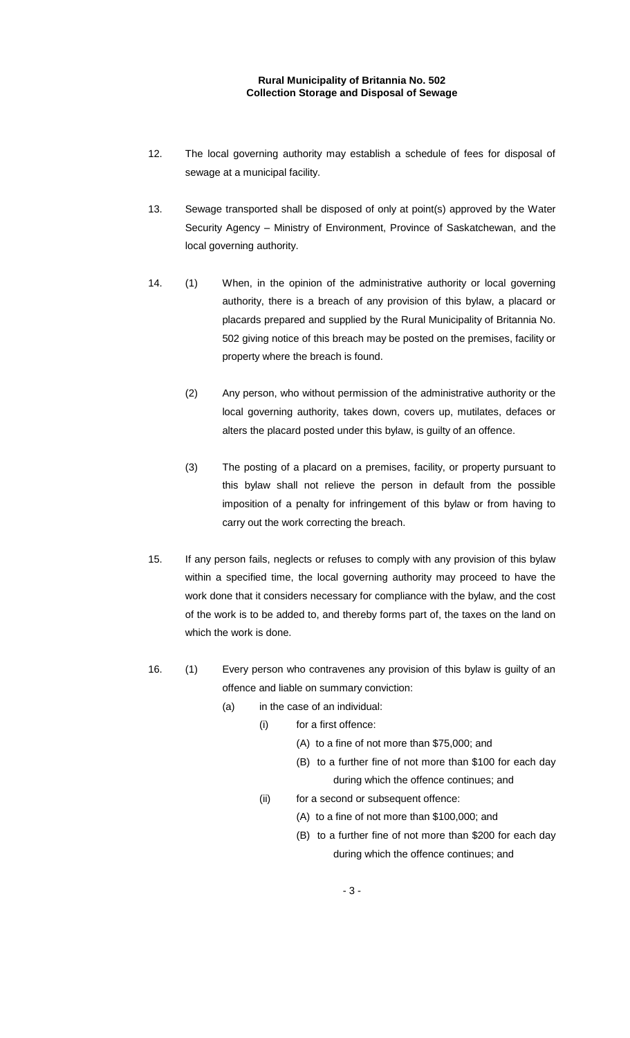#### **Rural Municipality of Britannia No. 502 Collection Storage and Disposal of Sewage**

- 12. The local governing authority may establish a schedule of fees for disposal of sewage at a municipal facility.
- 13. Sewage transported shall be disposed of only at point(s) approved by the Water Security Agency – Ministry of Environment, Province of Saskatchewan, and the local governing authority.
- 14. (1) When, in the opinion of the administrative authority or local governing authority, there is a breach of any provision of this bylaw, a placard or placards prepared and supplied by the Rural Municipality of Britannia No. 502 giving notice of this breach may be posted on the premises, facility or property where the breach is found.
	- (2) Any person, who without permission of the administrative authority or the local governing authority, takes down, covers up, mutilates, defaces or alters the placard posted under this bylaw, is guilty of an offence.
	- (3) The posting of a placard on a premises, facility, or property pursuant to this bylaw shall not relieve the person in default from the possible imposition of a penalty for infringement of this bylaw or from having to carry out the work correcting the breach.
- 15. If any person fails, neglects or refuses to comply with any provision of this bylaw within a specified time, the local governing authority may proceed to have the work done that it considers necessary for compliance with the bylaw, and the cost of the work is to be added to, and thereby forms part of, the taxes on the land on which the work is done.
- 16. (1) Every person who contravenes any provision of this bylaw is guilty of an offence and liable on summary conviction:
	- (a) in the case of an individual:
		- (i) for a first offence:
			- (A) to a fine of not more than \$75,000; and
			- (B) to a further fine of not more than \$100 for each day during which the offence continues; and
			- (ii) for a second or subsequent offence:
				- (A) to a fine of not more than \$100,000; and
				- (B) to a further fine of not more than \$200 for each day during which the offence continues; and